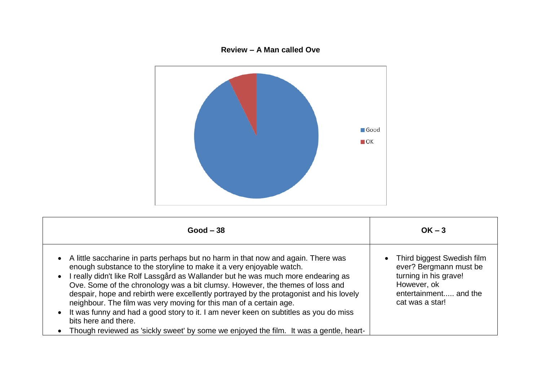## **Review – A Man called Ove**



| $Good - 38$                                                                                                                                                                                                                                                                                                                                                                                                                                                                                                                                                                                                                                                                                                                                                   | $OK - 3$                                                                                                                                   |
|---------------------------------------------------------------------------------------------------------------------------------------------------------------------------------------------------------------------------------------------------------------------------------------------------------------------------------------------------------------------------------------------------------------------------------------------------------------------------------------------------------------------------------------------------------------------------------------------------------------------------------------------------------------------------------------------------------------------------------------------------------------|--------------------------------------------------------------------------------------------------------------------------------------------|
| A little saccharine in parts perhaps but no harm in that now and again. There was<br>$\bullet$<br>enough substance to the storyline to make it a very enjoyable watch.<br>I really didn't like Rolf Lassgård as Wallander but he was much more endearing as<br>$\bullet$<br>Ove. Some of the chronology was a bit clumsy. However, the themes of loss and<br>despair, hope and rebirth were excellently portrayed by the protagonist and his lovely<br>neighbour. The film was very moving for this man of a certain age.<br>It was funny and had a good story to it. I am never keen on subtitles as you do miss<br>$\bullet$<br>bits here and there.<br>Though reviewed as 'sickly sweet' by some we enjoyed the film. It was a gentle, heart-<br>$\bullet$ | • Third biggest Swedish film<br>ever? Bergmann must be<br>turning in his grave!<br>However, ok<br>entertainment and the<br>cat was a star! |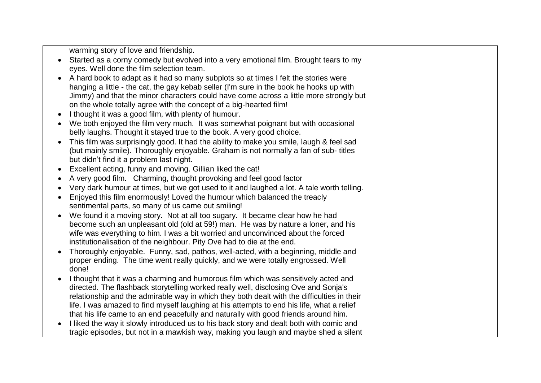warming story of love and friendship.

- Started as a corny comedy but evolved into a very emotional film. Brought tears to my eyes. Well done the film selection team.
- A hard book to adapt as it had so many subplots so at times I felt the stories were hanging a little - the cat, the gay kebab seller (I'm sure in the book he hooks up with Jimmy) and that the minor characters could have come across a little more strongly but on the whole totally agree with the concept of a big-hearted film!
- I thought it was a good film, with plenty of humour.
- We both enjoyed the film very much. It was somewhat poignant but with occasional belly laughs. Thought it stayed true to the book. A very good choice.
- This film was surprisingly good. It had the ability to make you smile, laugh & feel sad (but mainly smile). Thoroughly enjoyable. Graham is not normally a fan of sub- titles but didn't find it a problem last night.
- Excellent acting, funny and moving. Gillian liked the cat!
- A very good film. Charming, thought provoking and feel good factor
- Very dark humour at times, but we got used to it and laughed a lot. A tale worth telling.
- Enjoyed this film enormously! Loved the humour which balanced the treacly sentimental parts, so many of us came out smiling!
- We found it a moving story. Not at all too sugary. It became clear how he had become such an unpleasant old (old at 59!) man. He was by nature a loner, and his wife was everything to him. I was a bit worried and unconvinced about the forced institutionalisation of the neighbour. Pity Ove had to die at the end.
- Thoroughly enjoyable. Funny, sad, pathos, well-acted, with a beginning, middle and proper ending. The time went really quickly, and we were totally engrossed. Well done!
- I thought that it was a charming and humorous film which was sensitively acted and directed. The flashback storytelling worked really well, disclosing Ove and Sonja's relationship and the admirable way in which they both dealt with the difficulties in their life. I was amazed to find myself laughing at his attempts to end his life, what a relief that his life came to an end peacefully and naturally with good friends around him.
- I liked the way it slowly introduced us to his back story and dealt both with comic and tragic episodes, but not in a mawkish way, making you laugh and maybe shed a silent